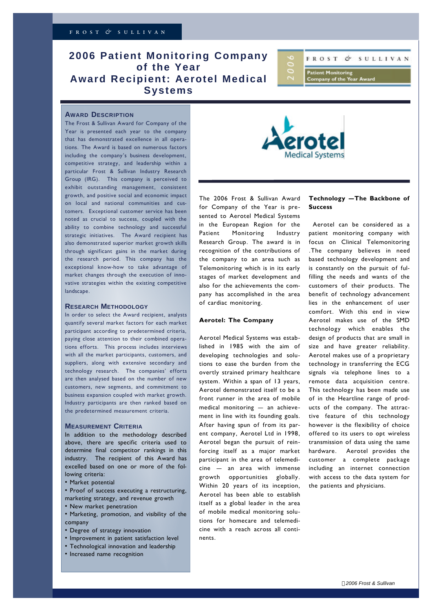# **2006 Patient Monitoring Company of the Year Award Recipient: Aerotel Medical Systems**



## **AWARD DESCRIPTION**

The Frost & Sullivan Award for Company of the Year is presented each year to the company that has demonstrated excellence in all operations. The Award is based on numerous factors including the company's business development, competitive strategy, and leadership within a particular Frost & Sullivan Industry Research Group (IRG). This company is perceived to exhibit outstanding management, consistent growth, and positive social and economic impact on local and national communities and customers. Exceptional customer service has been noted as crucial to success, coupled with the ability to combine technology and successful strategic initiatives. The Award recipient has also demonstrated superior market growth skills through significant gains in the market during the research period. This company has the exceptional know-how to take advantage of market changes through the execution of innovative strategies within the existing competitive landscape.

#### **RESEARCH METHODOLOGY**

In order to select the Award recipient, analysts quantify several market factors for each market participant according to predetermined criteria, paying close attention to their combined operations efforts. This process includes interviews with all the market participants, customers, and suppliers, along with extensive secondary and technology research. The companies' efforts are then analysed based on the number of new customers, new segments, and commitment to business expansion coupled with market growth. Industry participants are then ranked based on the predetermined measurement criteria.

# **MEASUREMENT CRITERIA**

In addition to the methodology described above, there are specific criteria used to determine final competitor rankings in this industry. The recipient of this Award has excelled based on one or more of the following criteria:

- Market potential
- Proof of success executing a restructuring,
- marketing strategy, and revenue growth
- New market penetration
- Marketing, promotion, and visibility of the company
- Degree of strategy innovation
- Improvement in patient satisfaction level
- Technological innovation and leadership
- Increased name recognition



The 2006 Frost & Sullivan Award for Company of the Year is presented to Aerotel Medical Systems in the European Region for the Patient Monitoring Industry Research Group. The award is in recognition of the contributions of the company to an area such as Telemonitoring which is in its early stages of market development and also for the achievements the company has accomplished in the area of cardiac monitoring.

### **Aerotel: The Company**

Aerotel Medical Systems was established in 1985 with the aim of developing technologies and solutions to ease the burden from the overtly strained primary healthcare system. Within a span of 13 years, Aerotel demonstrated itself to be a front runner in the area of mobile medical monitoring – an achievement in line with its founding goals. After having spun of from its parent company, Aerotel Ltd in 1998, Aerotel began the pursuit of reinforcing itself as a major market participant in the area of telemedicine – an area with immense growth opportunities globally. Within 20 years of its inception, Aerotel has been able to establish itself as a global leader in the area of mobile medical monitoring solutions for homecare and telemedicine with a reach across all continents.

# **Technology –The Backbone of Success**

Aerotel can be considered as a patient monitoring company with focus on Clinical Telemonitoring .The company believes in need based technology development and is constantly on the pursuit of fulfilling the needs and wants of the customers of their products. The benefit of technology advancement lies in the enhancement of user comfort. With this end in view Aerotel makes use of the SMD technology which enables the design of products that are small in size and have greater reliability. Aerotel makes use of a proprietary technology in transferring the ECG signals via telephone lines to a remote data acquisition centre. This technology has been made use of in the Heartline range of products of the company. The attractive feature of this technology however is the flexibility of choice offered to its users to opt wireless transmission of data using the same hardware. Aerotel provides the customer a complete package including an internet connection with access to the data system for the patients and physicians.